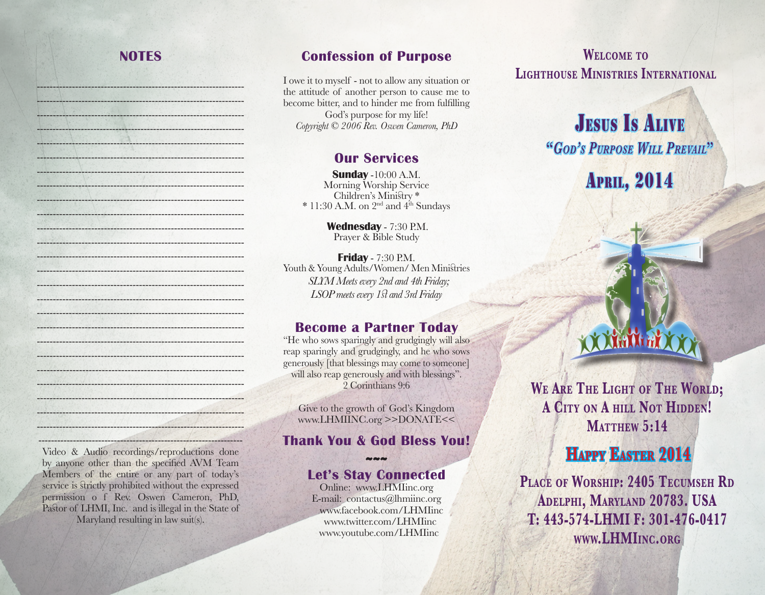### **NOTES**

----------------------------------------------------------------- ----------------------------------------------------------------- ----------------------------------------------------------------- ------------------------------------------------------------------ ----------------------------------------------------------------- ----------------------------------------------------------------- ----------------------------------------------------------------- ----------------------------------------------------------------- ----------------------------------------------------------------- ----------------------------------------------------------------- ----------------------------------------------------------------- ----------------------------------------------------------------- ----------------------------------------------------------------- ----------------------------------------------------------------- -----------------------------------------------------------------  $-1.11$  ,  $-1.11$  ,  $-1.11$  ,  $-1.11$  ,  $-1.11$  ,  $-1.11$  ,  $-1.11$  ,  $-1.11$  ,  $-1.11$  ,  $-1.11$  ,  $-1.11$  ,  $-1.11$ ----------------------------------------------------------------- ----------------------------------------------------------------- ----------------------------------------------------------------- ----------------------------------------------------------------- ---------------------------------------------------------------- ----------------------------------------------------------------- ----------------------------------------------------------------- ----------------------------------------------------------------- -----------------------------------------------------------------

#### **Confession of Purpose**

I owe it to myself - not to allow any situation or the attitude of another person to cause me to become bitter, and to hinder me from fulfilling God's purpose for my life! *Copyright © 2006 Rev. Oswen Cameron, PhD*

#### **Our Services**

**Sunday** -10:00 A.M. Morning Worship Service Children's Ministry \*  $* 11:30$  A.M. on 2<sup>nd</sup> and 4<sup>th</sup> Sundays

> **Wednesday** - 7:30 P.M. Prayer & Bible Study

**Friday** - 7:30 P.M. Youth & Young Adults/Women/ Men Ministries *SLYM Meets every 2nd and 4th Friday; LSOP meets every 1st and 3rd Friday* 

#### **Become a Partner Today**

"He who sows sparingly and grudgingly will also reap sparingly and grudgingly, and he who sows generously [that blessings may come to someone] will also reap generously and with blessings". 2 Corinthians 9:6

Give to the growth of God's Kingdom www.LHMIINC.org >>DONATE<<

#### **Thank You & God Bless You!**

#### **~~~ Let's Stay Connected**

Online: www.LHMIinc.org E-mail: contactus@lhmiinc.org www.facebook.com/LHMIinc www.twitter.com/LHMIinc www.youtube.com/LHMIinc

**Welcome to Lighthouse Ministries International**

# **JESUS IS ALIVE "***God's Purpose Will Prevail***"**

**APRIL, 2014** 



**We Are The Light of The World; A City on A hill Not Hidden! MATTHEW 5:14** 

## **Happy Easter 2014**

**Place of Worship: 2405 Tecumseh Rd Adelphi, Maryland 20783. USA T: 443-574-LHMI F: 301-476-0417 www.LHMIinc.org**

----------------------------------------------------------------- Video & Audio recordings/reproductions done by anyone other than the specified AVM Team Members of the entire or any part of today's service is strictly prohibited without the expressed permission o f Rev. Oswen Cameron, PhD, Pastor of LHMI, Inc. and is illegal in the State of Maryland resulting in law suit(s).